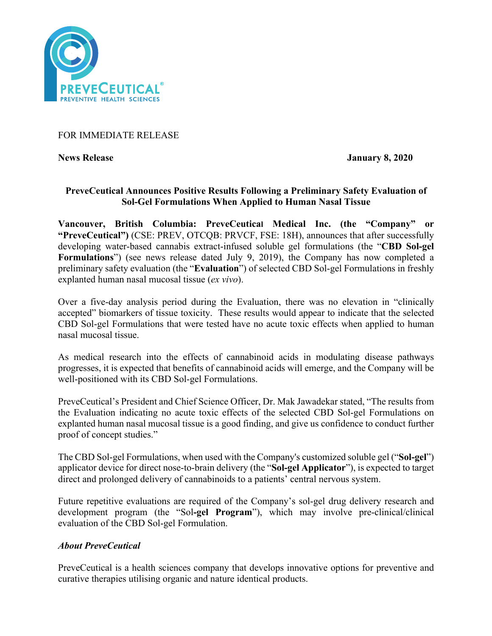

## FOR IMMEDIATE RELEASE

**News Release January 8, 2020**

# **PreveCeutical Announces Positive Results Following a Preliminary Safety Evaluation of Sol-Gel Formulations When Applied to Human Nasal Tissue**

**Vancouver, British Columbia: PreveCeutical Medical Inc. (the "Company" or "PreveCeutical")** (CSE: PREV, OTCQB: PRVCF, FSE: 18H), announces that after successfully developing water-based cannabis extract-infused soluble gel formulations (the "**CBD Sol-gel Formulations**") (see news release dated July 9, 2019), the Company has now completed a preliminary safety evaluation (the "**Evaluation**") of selected CBD Sol-gel Formulations in freshly explanted human nasal mucosal tissue (*ex vivo*).

Over a five-day analysis period during the Evaluation, there was no elevation in "clinically accepted" biomarkers of tissue toxicity. These results would appear to indicate that the selected CBD Sol-gel Formulations that were tested have no acute toxic effects when applied to human nasal mucosal tissue.

As medical research into the effects of cannabinoid acids in modulating disease pathways progresses, it is expected that benefits of cannabinoid acids will emerge, and the Company will be well-positioned with its CBD Sol-gel Formulations.

PreveCeutical's President and Chief Science Officer, Dr. Mak Jawadekar stated, "The results from the Evaluation indicating no acute toxic effects of the selected CBD Sol-gel Formulations on explanted human nasal mucosal tissue is a good finding, and give us confidence to conduct further proof of concept studies."

The CBD Sol-gel Formulations, when used with the Company's customized soluble gel ("**Sol-gel**") applicator device for direct nose-to-brain delivery (the "**Sol-gel Applicator**"), is expected to target direct and prolonged delivery of cannabinoids to a patients' central nervous system.

Future repetitive evaluations are required of the Company's sol-gel drug delivery research and development program (the "Sol**-gel Program**"), which may involve pre-clinical/clinical evaluation of the CBD Sol-gel Formulation.

## *About PreveCeutical*

PreveCeutical is a health sciences company that develops innovative options for preventive and curative therapies utilising organic and nature identical products.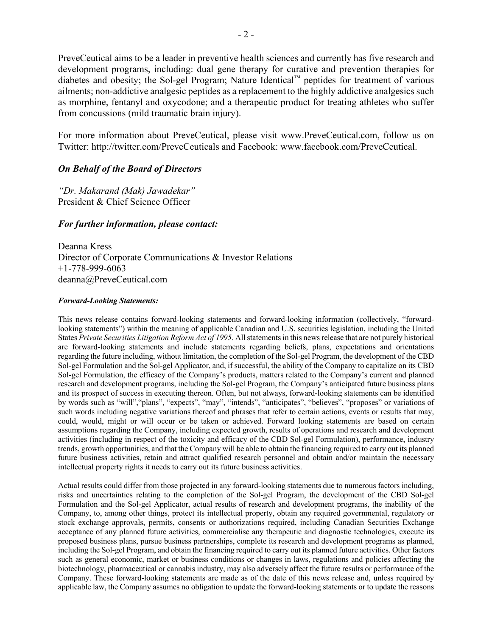PreveCeutical aims to be a leader in preventive health sciences and currently has five research and development programs, including: dual gene therapy for curative and prevention therapies for diabetes and obesity; the Sol-gel Program; Nature Identical™ peptides for treatment of various ailments; non-addictive analgesic peptides as a replacement to the highly addictive analgesics such as morphine, fentanyl and oxycodone; and a therapeutic product for treating athletes who suffer from concussions (mild traumatic brain injury).

For more information about PreveCeutical, please visit www.PreveCeutical.com, follow us on Twitter: http://twitter.com/PreveCeuticals and Facebook: www.facebook.com/PreveCeutical.

## *On Behalf of the Board of Directors*

*"Dr. Makarand (Mak) Jawadekar"* President & Chief Science Officer

### *For further information, please contact:*

Deanna Kress Director of Corporate Communications & Investor Relations +1-778-999-6063 deanna@PreveCeutical.com

#### *Forward-Looking Statements:*

This news release contains forward-looking statements and forward-looking information (collectively, "forwardlooking statements") within the meaning of applicable Canadian and U.S. securities legislation, including the United States *Private Securities Litigation Reform Act of 1995*. All statements in this news release that are not purely historical are forward-looking statements and include statements regarding beliefs, plans, expectations and orientations regarding the future including, without limitation, the completion of the Sol-gel Program, the development of the CBD Sol-gel Formulation and the Sol-gel Applicator, and, if successful, the ability of the Company to capitalize on its CBD Sol-gel Formulation, the efficacy of the Company's products, matters related to the Company's current and planned research and development programs, including the Sol-gel Program, the Company's anticipated future business plans and its prospect of success in executing thereon. Often, but not always, forward-looking statements can be identified by words such as "will","plans", "expects", "may", "intends", "anticipates", "believes", "proposes" or variations of such words including negative variations thereof and phrases that refer to certain actions, events or results that may, could, would, might or will occur or be taken or achieved. Forward looking statements are based on certain assumptions regarding the Company, including expected growth, results of operations and research and development activities (including in respect of the toxicity and efficacy of the CBD Sol-gel Formulation), performance, industry trends, growth opportunities, and that the Company will be able to obtain the financing required to carry out its planned future business activities, retain and attract qualified research personnel and obtain and/or maintain the necessary intellectual property rights it needs to carry out its future business activities.

Actual results could differ from those projected in any forward-looking statements due to numerous factors including, risks and uncertainties relating to the completion of the Sol-gel Program, the development of the CBD Sol-gel Formulation and the Sol-gel Applicator, actual results of research and development programs, the inability of the Company, to, among other things, protect its intellectual property, obtain any required governmental, regulatory or stock exchange approvals, permits, consents or authorizations required, including Canadian Securities Exchange acceptance of any planned future activities, commercialise any therapeutic and diagnostic technologies, execute its proposed business plans, pursue business partnerships, complete its research and development programs as planned, including the Sol-gel Program, and obtain the financing required to carry out its planned future activities. Other factors such as general economic, market or business conditions or changes in laws, regulations and policies affecting the biotechnology, pharmaceutical or cannabis industry, may also adversely affect the future results or performance of the Company. These forward-looking statements are made as of the date of this news release and, unless required by applicable law, the Company assumes no obligation to update the forward-looking statements or to update the reasons